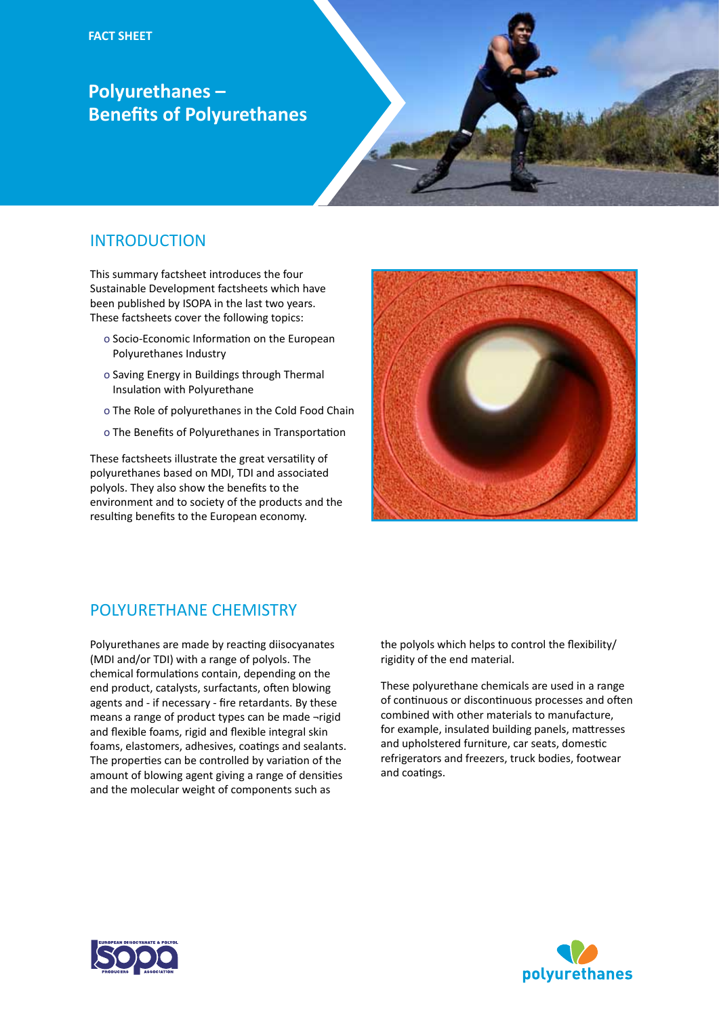## **Polyurethanes – Benefits of Polyurethanes**



## **INTRODUCTION**

This summary factsheet introduces the four Sustainable Development factsheets which have been published by ISOPA in the last two years. These factsheets cover the following topics:

- o Socio-Economic Information on the European Polyurethanes Industry
- o Saving Energy in Buildings through Thermal Insulation with Polyurethane
- o The Role of polyurethanes in the Cold Food Chain
- o The Benefits of Polyurethanes in Transportation

These factsheets illustrate the great versatility of polyurethanes based on MDI, TDI and associated polyols. They also show the benefits to the environment and to society of the products and the resulting benefits to the European economy.



## POLYURETHANE CHEMISTRY

Polyurethanes are made by reacting diisocyanates (MDI and/or TDI) with a range of polyols. The chemical formulations contain, depending on the end product, catalysts, surfactants, often blowing agents and - if necessary - fire retardants. By these means a range of product types can be made ¬rigid and flexible foams, rigid and flexible integral skin foams, elastomers, adhesives, coatings and sealants. The properties can be controlled by variation of the amount of blowing agent giving a range of densities and the molecular weight of components such as

the polyols which helps to control the flexibility/ rigidity of the end material.

These polyurethane chemicals are used in a range of continuous or discontinuous processes and often combined with other materials to manufacture, for example, insulated building panels, mattresses and upholstered furniture, car seats, domestic refrigerators and freezers, truck bodies, footwear and coatings.